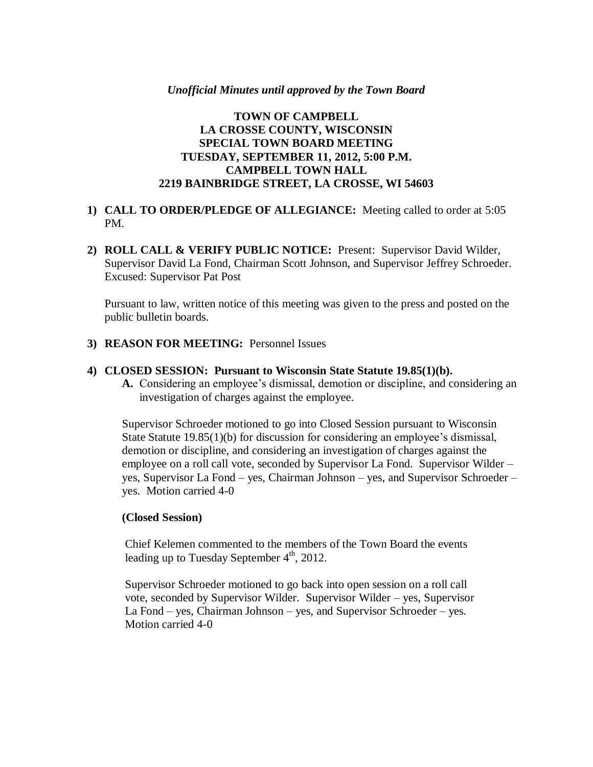## *Unofficial Minutes until approved by the Town Board*

# **TOWN OF CAMPBELL LA CROSSE COUNTY, WISCONSIN SPECIAL TOWN BOARD MEETING TUESDAY, SEPTEMBER 11, 2012, 5:00 P.M. CAMPBELL TOWN HALL 2219 BAINBRIDGE STREET, LA CROSSE, WI 54603**

## **1) CALL TO ORDER/PLEDGE OF ALLEGIANCE:** Meeting called to order at 5:05 PM.

**2) ROLL CALL & VERIFY PUBLIC NOTICE:** Present: Supervisor David Wilder, Supervisor David La Fond, Chairman Scott Johnson, and Supervisor Jeffrey Schroeder. Excused: Supervisor Pat Post

Pursuant to law, written notice of this meeting was given to the press and posted on the public bulletin boards.

**3) REASON FOR MEETING:** Personnel Issues

#### **4) CLOSED SESSION: Pursuant to Wisconsin State Statute 19.85(1)(b).**

**A.** Considering an employee's dismissal, demotion or discipline, and considering an investigation of charges against the employee.

Supervisor Schroeder motioned to go into Closed Session pursuant to Wisconsin State Statute 19.85(1)(b) for discussion for considering an employee's dismissal, demotion or discipline, and considering an investigation of charges against the employee on a roll call vote, seconded by Supervisor La Fond. Supervisor Wilder – yes, Supervisor La Fond – yes, Chairman Johnson – yes, and Supervisor Schroeder – yes. Motion carried 4-0

## **(Closed Session)**

 Chief Kelemen commented to the members of the Town Board the events leading up to Tuesday September  $4<sup>th</sup>$ , 2012.

 Supervisor Schroeder motioned to go back into open session on a roll call vote, seconded by Supervisor Wilder. Supervisor Wilder – yes, Supervisor La Fond – yes, Chairman Johnson – yes, and Supervisor Schroeder – yes. Motion carried 4-0